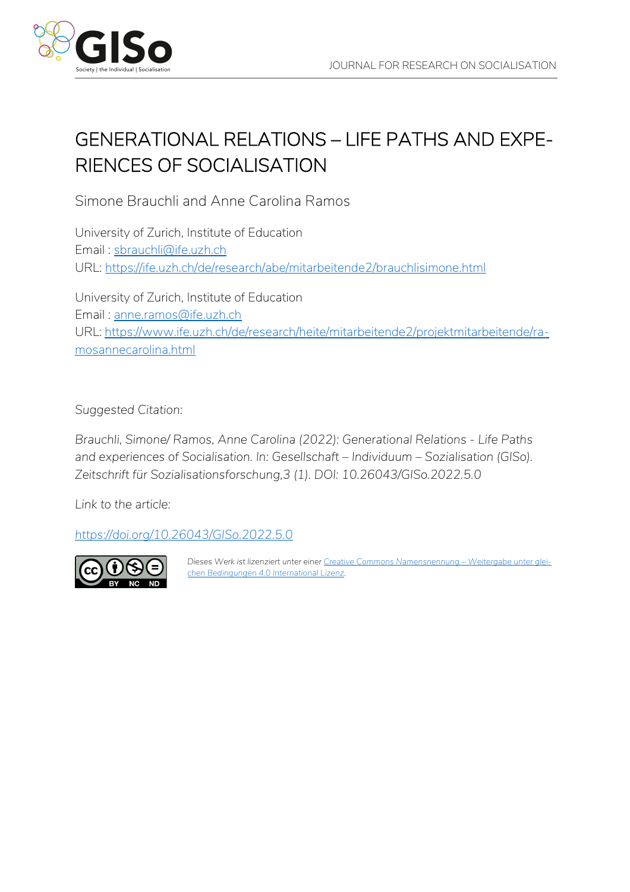



# GENERATIONAL RELATIONS – LIFE PATHS AND EXPE-RIENCES OF SOCIALISATION

Simone Brauchli and Anne Carolina Ramos

University of Zurich, Institute of Education Email : sbrauchli@ife.uzh.ch URL: https://ife.uzh.ch/de/research/abe/mitarbeitende2/brauchlisimone.html

University of Zurich, Institute of Education Email : anne.ramos@ife.uzh.ch URL: https://www.ife.uzh.ch/de/research/heite/mitarbeitende2/projektmitarbeitende/ramosannecarolina.html

*Suggested Citation:*

*Brauchli, Simone/ Ramos, Anne Carolina (2022): Generational Relations - Life Paths and experiences of Socialisation. In: Gesellschaft – Individuum – Sozialisation (GISo). Zeitschrift für Sozialisationsforschung,3 (1). DOI: 10.26043/GISo.2022.5.0*

*Link to the article:*

*https://doi.org/10.26043/GISo.2022.5.0*



*Dieses Werk ist lizenziert unter einer Creative Commons Namensnennung – Weitergabe unter gleichen Bedingungen 4.0 International Lizenz.*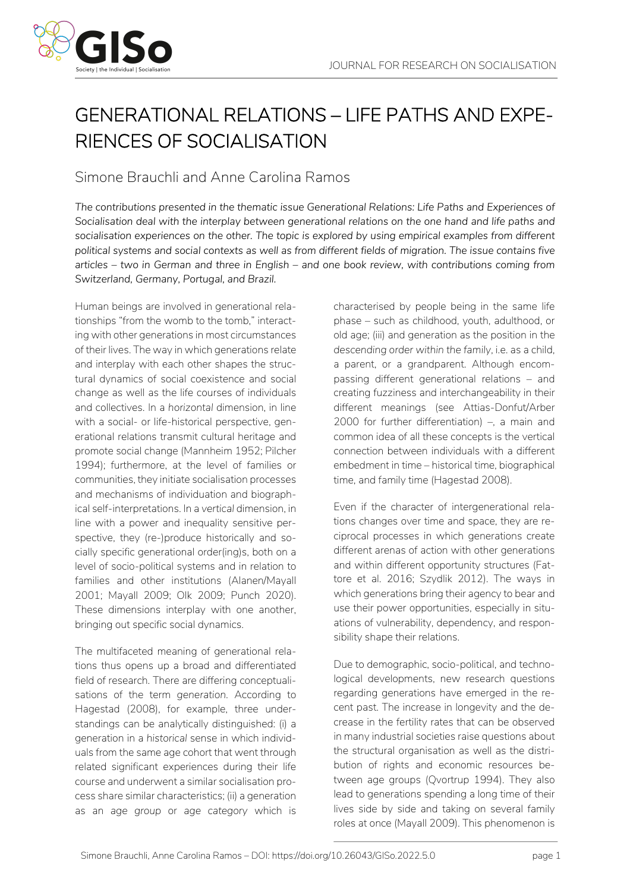

## GENERATIONAL RELATIONS – LIFE PATHS AND EXPE-RIENCES OF SOCIALISATION

### Simone Brauchli and Anne Carolina Ramos

*The contributions presented in the thematic issue Generational Relations: Life Paths and Experiences of Socialisation deal with the interplay between generational relations on the one hand and life paths and socialisation experiences on the other. The topic is explored by using empirical examples from different political systems and social contexts as well as from different fields of migration. The issue contains five articles – two in German and three in English – and one book review, with contributions coming from Switzerland, Germany, Portugal, and Brazil.*

Human beings are involved in generational relationships "from the womb to the tomb," interacting with other generations in most circumstances of their lives. The way in which generations relate and interplay with each other shapes the structural dynamics of social coexistence and social change as well as the life courses of individuals and collectives. In a *horizontal* dimension, in line with a social- or life-historical perspective, generational relations transmit cultural heritage and promote social change (Mannheim 1952; Pilcher 1994); furthermore, at the level of families or communities, they initiate socialisation processes and mechanisms of individuation and biographical self-interpretations. In a *vertical* dimension, in line with a power and inequality sensitive perspective, they (re-)produce historically and socially specific generational order(ing)s, both on a level of socio-political systems and in relation to families and other institutions (Alanen/Mayall 2001; Mayall 2009; Olk 2009; Punch 2020). These dimensions interplay with one another, bringing out specific social dynamics.

The multifaceted meaning of generational relations thus opens up a broad and differentiated field of research. There are differing conceptualisations of the term *generation*. According to Hagestad (2008), for example, three understandings can be analytically distinguished: (i) a generation in a *historical* sense in which individuals from the same age cohort that went through related significant experiences during their life course and underwent a similar socialisation process share similar characteristics; (ii) a generation as an *age group* or *age category* which is

characterised by people being in the same life phase – such as childhood, youth, adulthood, or old age; (iii) and generation as the position in the *descending order within the family*, i.e. as a child, a parent, or a grandparent. Although encompassing different generational relations – and creating fuzziness and interchangeability in their different meanings (see Attias-Donfut/Arber 2000 for further differentiation) –, a main and common idea of all these concepts is the vertical connection between individuals with a different embedment in time – historical time, biographical time, and family time (Hagestad 2008).

Even if the character of intergenerational relations changes over time and space, they are reciprocal processes in which generations create different arenas of action with other generations and within different opportunity structures (Fattore et al. 2016; Szydlik 2012). The ways in which generations bring their agency to bear and use their power opportunities, especially in situations of vulnerability, dependency, and responsibility shape their relations.

Due to demographic, socio-political, and technological developments, new research questions regarding generations have emerged in the recent past. The increase in longevity and the decrease in the fertility rates that can be observed in many industrial societies raise questions about the structural organisation as well as the distribution of rights and economic resources between age groups (Qvortrup 1994). They also lead to generations spending a long time of their lives side by side and taking on several family roles at once (Mayall 2009). This phenomenon is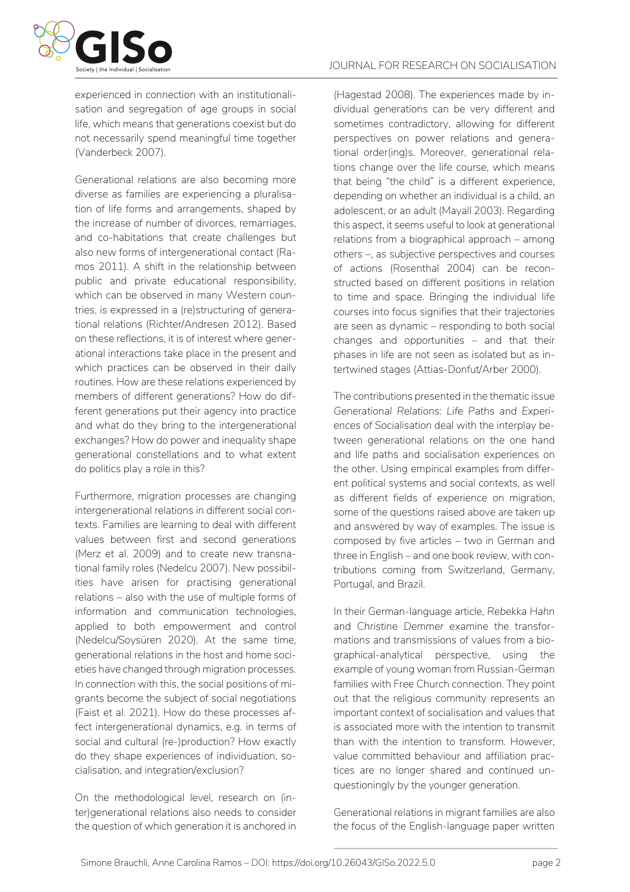

experienced in connection with an institutionalisation and segregation of age groups in social life, which means that generations coexist but do not necessarily spend meaningful time together (Vanderbeck 2007).

Generational relations are also becoming more diverse as families are experiencing a pluralisation of life forms and arrangements, shaped by the increase of number of divorces, remarriages, and co-habitations that create challenges but also new forms of intergenerational contact (Ramos 2011). A shift in the relationship between public and private educational responsibility, which can be observed in many Western countries, is expressed in a (re)structuring of generational relations (Richter/Andresen 2012). Based on these reflections, it is of interest where generational interactions take place in the present and which practices can be observed in their daily routines. How are these relations experienced by members of different generations? How do different generations put their agency into practice and what do they bring to the intergenerational exchanges? How do power and inequality shape generational constellations and to what extent do politics play a role in this?

Furthermore, migration processes are changing intergenerational relations in different social contexts. Families are learning to deal with different values between first and second generations (Merz et al. 2009) and to create new transnational family roles (Nedelcu 2007). New possibilities have arisen for practising generational relations – also with the use of multiple forms of information and communication technologies, applied to both empowerment and control (Nedelcu/Soysüren 2020). At the same time, generational relations in the host and home societies have changed through migration processes. In connection with this, the social positions of migrants become the subject of social negotiations (Faist et al. 2021). How do these processes affect intergenerational dynamics, e.g. in terms of social and cultural (re-)production? How exactly do they shape experiences of individuation, socialisation, and integration/exclusion?

On the methodological level, research on (inter)generational relations also needs to consider the question of which generation it is anchored in

(Hagestad 2008). The experiences made by individual generations can be very different and sometimes contradictory, allowing for different perspectives on power relations and generational order(ing)s. Moreover, generational relations change over the life course, which means that being "the child" is a different experience, depending on whether an individual is a child, an adolescent, or an adult (Mayall 2003). Regarding this aspect, it seems useful to look at generational relations from a biographical approach – among others –, as subjective perspectives and courses of actions (Rosenthal 2004) can be reconstructed based on different positions in relation to time and space. Bringing the individual life courses into focus signifies that their trajectories are seen as dynamic – responding to both social changes and opportunities – and that their phases in life are not seen as isolated but as intertwined stages (Attias-Donfut/Arber 2000).

The contributions presented in the thematic issue *Generational Relations: Life Paths and Experiences of Socialisation* deal with the interplay between generational relations on the one hand and life paths and socialisation experiences on the other. Using empirical examples from different political systems and social contexts, as well as different fields of experience on migration, some of the questions raised above are taken up and answered by way of examples. The issue is composed by five articles – two in German and three in English – and one book review, with contributions coming from Switzerland, Germany, Portugal, and Brazil.

In their German-language article, *Rebekka Hahn* and *Christine Demmer* examine the transformations and transmissions of values from a biographical-analytical perspective, using the example of young woman from Russian-German families with Free Church connection. They point out that the religious community represents an important context of socialisation and values that is associated more with the intention to transmit than with the intention to transform. However, value committed behaviour and affiliation practices are no longer shared and continued unquestioningly by the younger generation.

Generational relations in migrant families are also the focus of the English-language paper written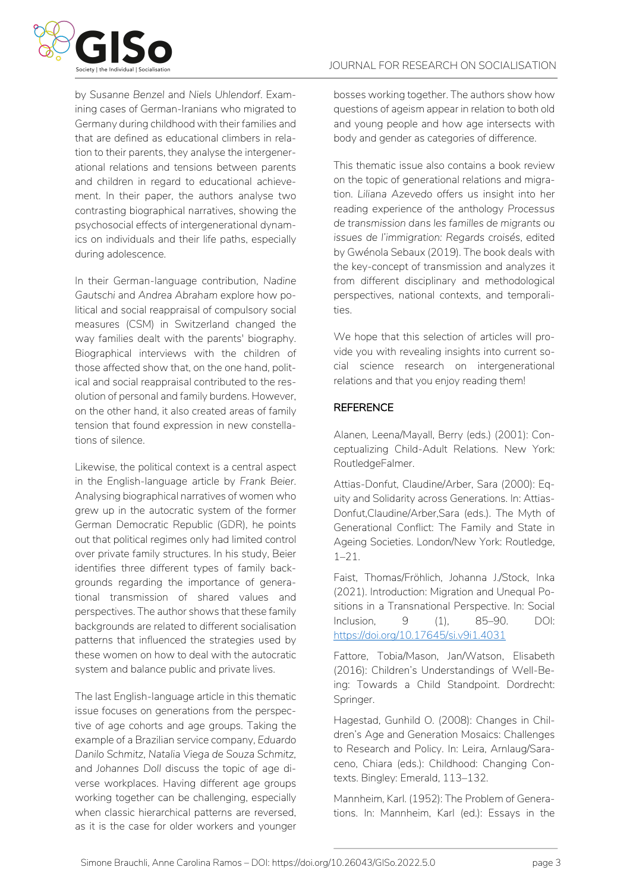

by *Susanne Benzel* and *Niels Uhlendorf*. Examining cases of German-Iranians who migrated to Germany during childhood with their families and that are defined as educational climbers in relation to their parents, they analyse the intergenerational relations and tensions between parents and children in regard to educational achievement. In their paper, the authors analyse two contrasting biographical narratives, showing the psychosocial effects of intergenerational dynamics on individuals and their life paths, especially during adolescence.

In their German-language contribution, *Nadine Gautschi* and *Andrea Abraham* explore how political and social reappraisal of compulsory social measures (CSM) in Switzerland changed the way families dealt with the parents' biography. Biographical interviews with the children of those affected show that, on the one hand, political and social reappraisal contributed to the resolution of personal and family burdens. However, on the other hand, it also created areas of family tension that found expression in new constellations of silence.

Likewise, the political context is a central aspect in the English-language article by *Frank Beier*. Analysing biographical narratives of women who grew up in the autocratic system of the former German Democratic Republic (GDR), he points out that political regimes only had limited control over private family structures. In his study, Beier identifies three different types of family backgrounds regarding the importance of generational transmission of shared values and perspectives. The author shows that these family backgrounds are related to different socialisation patterns that influenced the strategies used by these women on how to deal with the autocratic system and balance public and private lives.

The last English-language article in this thematic issue focuses on generations from the perspective of age cohorts and age groups. Taking the example of a Brazilian service company, *Eduardo Danilo Schmitz, Natalia Viega de Souza Schmitz,*  and *Johannes Doll* discuss the topic of age diverse workplaces. Having different age groups working together can be challenging, especially when classic hierarchical patterns are reversed, as it is the case for older workers and younger

bosses working together. The authors show how questions of ageism appear in relation to both old and young people and how age intersects with body and gender as categories of difference.

This thematic issue also contains a book review on the topic of generational relations and migration. *Liliana Azevedo* offers us insight into her reading experience of the anthology *Processus de transmission dans les familles de migrants ou issues de l'immigration: Regards croisés*, edited by Gwénola Sebaux (2019). The book deals with the key-concept of transmission and analyzes it from different disciplinary and methodological perspectives, national contexts, and temporalities.

We hope that this selection of articles will provide you with revealing insights into current social science research on intergenerational relations and that you enjoy reading them!

#### **REFERENCE**

Alanen, Leena/Mayall, Berry (eds.) (2001): Conceptualizing Child-Adult Relations. New York: RoutledgeFalmer.

Attias-Donfut, Claudine/Arber, Sara (2000): Equity and Solidarity across Generations. In: Attias-Donfut,Claudine/Arber,Sara (eds.). The Myth of Generational Conflict: The Family and State in Ageing Societies. London/New York: Routledge, 1–21.

Faist, Thomas/Fröhlich, Johanna J./Stock, Inka (2021). Introduction: Migration and Unequal Positions in a Transnational Perspective. In: Social Inclusion, 9 (1), 85–90. DOI: https://doi.org/10.17645/si.v9i1.4031

Fattore, Tobia/Mason, Jan/Watson, Elisabeth (2016): Children's Understandings of Well-Being: Towards a Child Standpoint. Dordrecht: Springer.

Hagestad, Gunhild O. (2008): Changes in Children's Age and Generation Mosaics: Challenges to Research and Policy. In: Leira, Arnlaug/Saraceno, Chiara (eds.): Childhood: Changing Contexts. Bingley: Emerald, 113–132.

Mannheim, Karl. (1952): The Problem of Generations. In: Mannheim, Karl (ed.): Essays in the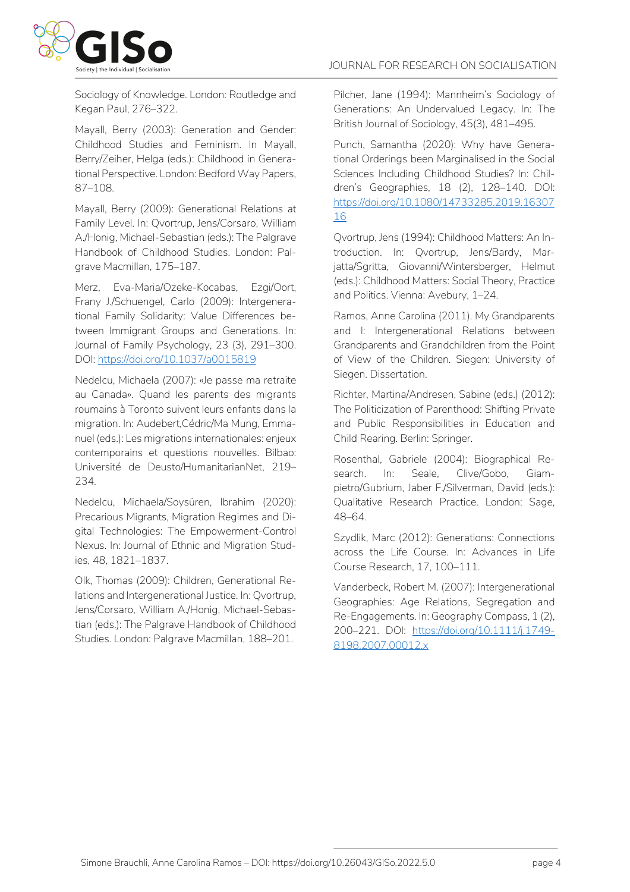

Sociology of Knowledge. London: Routledge and Kegan Paul, 276–322.

Mayall, Berry (2003): Generation and Gender: Childhood Studies and Feminism. In Mayall, Berry/Zeiher, Helga (eds.): Childhood in Generational Perspective. London: Bedford Way Papers, 87–108.

Mayall, Berry (2009): Generational Relations at Family Level. In: Qvortrup, Jens/Corsaro, William A./Honig, Michael-Sebastian (eds.): The Palgrave Handbook of Childhood Studies. London: Palgrave Macmillan, 175–187.

Merz, Eva-Maria/Ozeke-Kocabas, Ezgi/Oort, Frany J./Schuengel, Carlo (2009): Intergenerational Family Solidarity: Value Differences between Immigrant Groups and Generations. In: Journal of Family Psychology, 23 (3), 291–300. DOI: https://doi.org/10.1037/a0015819

Nedelcu, Michaela (2007): «Je passe ma retraite au Canada». Quand les parents des migrants roumains à Toronto suivent leurs enfants dans la migration. In: Audebert,Cédric/Ma Mung, Emmanuel (eds.): Les migrations internationales: enjeux contemporains et questions nouvelles. Bilbao: Université de Deusto/HumanitarianNet, 219– 234.

Nedelcu, Michaela/Soysüren, Ibrahim (2020): Precarious Migrants, Migration Regimes and Digital Technologies: The Empowerment-Control Nexus. In: Journal of Ethnic and Migration Studies, 48, 1821–1837.

Olk, Thomas (2009): Children, Generational Relations and Intergenerational Justice. In: Qvortrup, Jens/Corsaro, William A./Honig, Michael-Sebastian (eds.): The Palgrave Handbook of Childhood Studies. London: Palgrave Macmillan, 188–201.

Pilcher, Jane (1994): Mannheim's Sociology of Generations: An Undervalued Legacy. In: The British Journal of Sociology, 45(3), 481–495.

Punch, Samantha (2020): Why have Generational Orderings been Marginalised in the Social Sciences Including Childhood Studies? In: Children's Geographies, 18 (2), 128–140. DOI: https://doi.org/10.1080/14733285.2019.16307 16

Qvortrup, Jens (1994): Childhood Matters: An Introduction. In: Qvortrup, Jens/Bardy, Marjatta/Sgritta, Giovanni/Wintersberger, Helmut (eds.): Childhood Matters: Social Theory, Practice and Politics. Vienna: Avebury, 1–24.

Ramos, Anne Carolina (2011). My Grandparents and I: Intergenerational Relations between Grandparents and Grandchildren from the Point of View of the Children. Siegen: University of Siegen. Dissertation.

Richter, Martina/Andresen, Sabine (eds.) (2012): The Politicization of Parenthood: Shifting Private and Public Responsibilities in Education and Child Rearing. Berlin: Springer.

Rosenthal, Gabriele (2004): Biographical Research. In: Seale, Clive/Gobo, Giampietro/Gubrium, Jaber F./Silverman, David (eds.): Qualitative Research Practice. London: Sage, 48–64.

Szydlik, Marc (2012): Generations: Connections across the Life Course. In: Advances in Life Course Research, 17, 100–111.

Vanderbeck, Robert M. (2007): Intergenerational Geographies: Age Relations, Segregation and Re-Engagements. In: Geography Compass, 1 (2), 200–221. DOI: https://doi.org/10.1111/j.1749- 8198.2007.00012.x